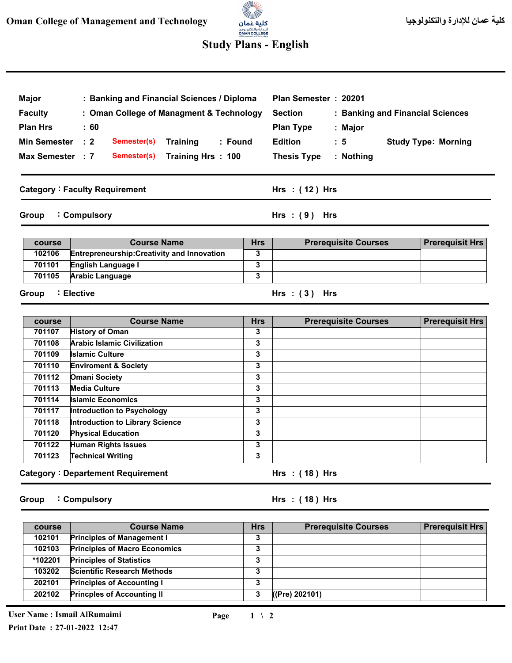# 3 للإدارة والتكنولوجيا<br>OMAN COLLEGE<br>st Management and Technology

### **Study Plans - English**

| <b>Major</b><br><b>Faculty</b><br><b>Plan Hrs</b> | $\pm 60$       | : Banking and Financial Sciences / Diploma<br>: Oman College of Managment & Technology |                                      |                 | Plan Semester: 20201<br><b>Section</b><br><b>Plan Type</b> |  | : Major            | : Banking and Financial Sciences |
|---------------------------------------------------|----------------|----------------------------------------------------------------------------------------|--------------------------------------|-----------------|------------------------------------------------------------|--|--------------------|----------------------------------|
| <b>Min Semester</b><br>Max Semester : 7           | $\therefore$ 2 | Semester(s)<br>Semester(s)                                                             | <b>Training</b><br>Training Hrs: 100 | : Found         | <b>Edition</b><br><b>Thesis Type</b>                       |  | : 5<br>$:$ Nothing | <b>Study Type: Morning</b>       |
| <b>Category: Faculty Requirement</b>              |                |                                                                                        |                                      | Hrs $:(12)$ Hrs |                                                            |  |                    |                                  |
| : Compulsory<br>Group                             |                |                                                                                        |                                      | $Hrs : (9)$ Hrs |                                                            |  |                    |                                  |

|                                                              | <b>Hrs</b><br><b>Course Name</b> | <b>Prerequisite Courses</b> | <b>Prerequisit Hrs</b> |
|--------------------------------------------------------------|----------------------------------|-----------------------------|------------------------|
| 102106<br><b>Entrepreneurship: Creativity and Innovation</b> |                                  |                             |                        |
| 701101<br><b>English Language I</b>                          |                                  |                             |                        |
| 701105<br><b>Arabic Language</b>                             |                                  |                             |                        |

#### **Group Elective :**

**Course Name 3 3 3 3 3 3 3 3 3 3 3 3 Hrs Prerequisite Courses Category Departement Requirement : 701107 701108 701109 701110 701112 701113 701114 701117 701118 701120 701122 701123 course Hrs ( 18 ) : Hrs Prerequisit Hrs History of Oman Arabic Islamic Civilization Islamic Culture Enviroment & Society Omani Society Media Culture Islamic Economics Introduction to Psychology Introduction to Library Science Physical Education Human Rights Issues Technical Writing** 

**Group Compulsory :** **( 18 ) Hrs : Hrs**

**( 3 ) Hrs : Hrs**

| course  | <b>Course Name</b>                   | <b>Hrs</b> | <b>Prerequisite Courses</b> | <b>Prerequisit Hrs</b> |
|---------|--------------------------------------|------------|-----------------------------|------------------------|
| 102101  | <b>Principles of Management I</b>    | 3          |                             |                        |
| 102103  | <b>Principles of Macro Economics</b> | 3          |                             |                        |
| *102201 | <b>Principles of Statistics</b>      | 3          |                             |                        |
| 103202  | <b>Scientific Research Methods</b>   | 3          |                             |                        |
| 202101  | <b>Principles of Accounting I</b>    | 3          |                             |                        |
| 202102  | <b>Princples of Accounting II</b>    | 3          | ((Pre) 202101)              |                        |